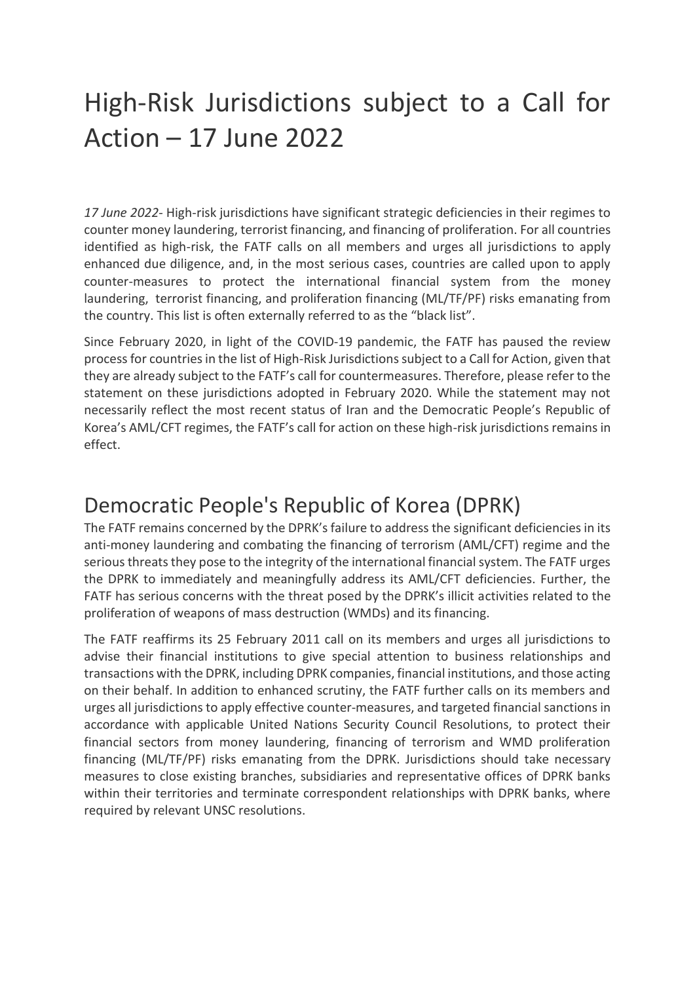## High-Risk Jurisdictions subject to a Call for Action – 17 June 2022

*17 June 2022*- High-risk jurisdictions have significant strategic deficiencies in their regimes to counter money laundering, terrorist financing, and financing of proliferation. For all countries identified as high-risk, the FATF calls on all members and urges all jurisdictions to apply enhanced due diligence, and, in the most serious cases, countries are called upon to apply counter-measures to protect the international financial system from the money laundering, terrorist financing, and proliferation financing (ML/TF/PF) risks emanating from the country. This list is often externally referred to as the "black list".

Since February 2020, in light of the COVID-19 pandemic, the FATF has paused the review process for countries in the list of High-Risk Jurisdictions subject to a Call for Action, given that they are already subject to the FATF's call for countermeasures. Therefore, please refer to the statement on these jurisdictions adopted in February 2020. While the statement may not necessarily reflect the most recent status of Iran and the Democratic People's Republic of Korea's AML/CFT regimes, the FATF's call for action on these high-risk jurisdictions remains in effect.

## Democratic People's Republic of Korea (DPRK)

The FATF remains concerned by the DPRK's failure to address the significant deficiencies in its anti-money laundering and combating the financing of terrorism (AML/CFT) regime and the serious threats they pose to the integrity of the international financial system. The FATF urges the DPRK to immediately and meaningfully address its AML/CFT deficiencies. Further, the FATF has serious concerns with the threat posed by the DPRK's illicit activities related to the proliferation of weapons of mass destruction (WMDs) and its financing.

The FATF reaffirms its 25 February 2011 call on its members and urges all jurisdictions to advise their financial institutions to give special attention to business relationships and transactions with the DPRK, including DPRK companies, financial institutions, and those acting on their behalf. In addition to enhanced scrutiny, the FATF further calls on its members and urges all jurisdictions to apply effective counter-measures, and targeted financial sanctions in accordance with applicable United Nations Security Council Resolutions, to protect their financial sectors from money laundering, financing of terrorism and WMD proliferation financing (ML/TF/PF) risks emanating from the DPRK. Jurisdictions should take necessary measures to close existing branches, subsidiaries and representative offices of DPRK banks within their territories and terminate correspondent relationships with DPRK banks, where required by relevant UNSC resolutions.